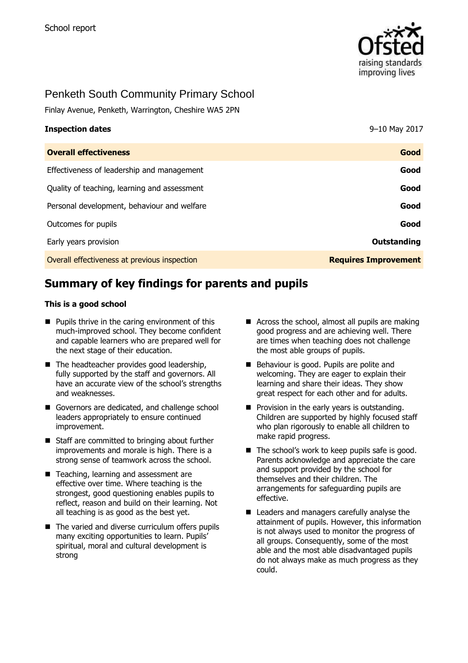

# Penketh South Community Primary School

Finlay Avenue, Penketh, Warrington, Cheshire WA5 2PN

| <b>Inspection dates</b>                      | 9-10 May 2017               |
|----------------------------------------------|-----------------------------|
| <b>Overall effectiveness</b>                 | Good                        |
| Effectiveness of leadership and management   | Good                        |
| Quality of teaching, learning and assessment | Good                        |
| Personal development, behaviour and welfare  | Good                        |
| Outcomes for pupils                          | Good                        |
| Early years provision                        | Outstanding                 |
| Overall effectiveness at previous inspection | <b>Requires Improvement</b> |

# **Summary of key findings for parents and pupils**

#### **This is a good school**

- $\blacksquare$  Pupils thrive in the caring environment of this much-improved school. They become confident and capable learners who are prepared well for the next stage of their education.
- $\blacksquare$  The headteacher provides good leadership, fully supported by the staff and governors. All have an accurate view of the school's strengths and weaknesses.
- Governors are dedicated, and challenge school leaders appropriately to ensure continued improvement.
- Staff are committed to bringing about further improvements and morale is high. There is a strong sense of teamwork across the school.
- Teaching, learning and assessment are effective over time. Where teaching is the strongest, good questioning enables pupils to reflect, reason and build on their learning. Not all teaching is as good as the best yet.
- The varied and diverse curriculum offers pupils many exciting opportunities to learn. Pupils' spiritual, moral and cultural development is strong
- Across the school, almost all pupils are making good progress and are achieving well. There are times when teaching does not challenge the most able groups of pupils.
- Behaviour is good. Pupils are polite and welcoming. They are eager to explain their learning and share their ideas. They show great respect for each other and for adults.
- $\blacksquare$  Provision in the early years is outstanding. Children are supported by highly focused staff who plan rigorously to enable all children to make rapid progress.
- $\blacksquare$  The school's work to keep pupils safe is good. Parents acknowledge and appreciate the care and support provided by the school for themselves and their children. The arrangements for safeguarding pupils are effective.
- Leaders and managers carefully analyse the attainment of pupils. However, this information is not always used to monitor the progress of all groups. Consequently, some of the most able and the most able disadvantaged pupils do not always make as much progress as they could.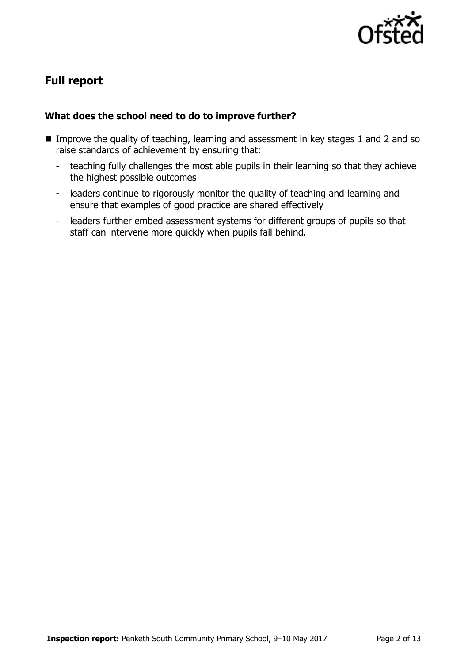

# **Full report**

## **What does the school need to do to improve further?**

- Improve the quality of teaching, learning and assessment in key stages 1 and 2 and so raise standards of achievement by ensuring that:
	- teaching fully challenges the most able pupils in their learning so that they achieve the highest possible outcomes
	- leaders continue to rigorously monitor the quality of teaching and learning and ensure that examples of good practice are shared effectively
	- leaders further embed assessment systems for different groups of pupils so that staff can intervene more quickly when pupils fall behind.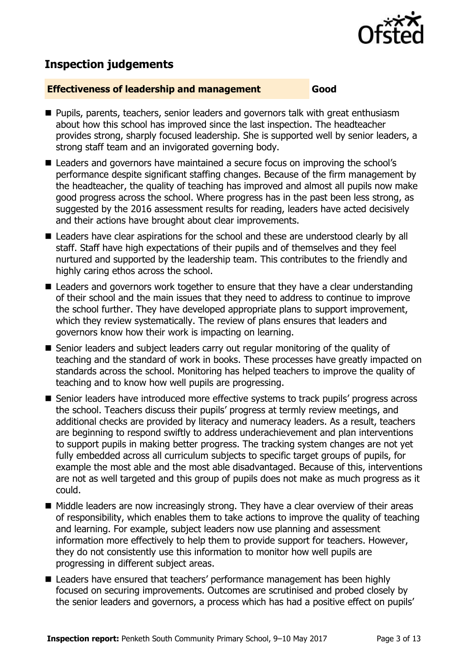

## **Inspection judgements**

#### **Effectiveness of leadership and management Good**

- **Pupils, parents, teachers, senior leaders and governors talk with great enthusiasm** about how this school has improved since the last inspection. The headteacher provides strong, sharply focused leadership. She is supported well by senior leaders, a strong staff team and an invigorated governing body.
- Leaders and governors have maintained a secure focus on improving the school's performance despite significant staffing changes. Because of the firm management by the headteacher, the quality of teaching has improved and almost all pupils now make good progress across the school. Where progress has in the past been less strong, as suggested by the 2016 assessment results for reading, leaders have acted decisively and their actions have brought about clear improvements.
- Leaders have clear aspirations for the school and these are understood clearly by all staff. Staff have high expectations of their pupils and of themselves and they feel nurtured and supported by the leadership team. This contributes to the friendly and highly caring ethos across the school.
- Leaders and governors work together to ensure that they have a clear understanding of their school and the main issues that they need to address to continue to improve the school further. They have developed appropriate plans to support improvement, which they review systematically. The review of plans ensures that leaders and governors know how their work is impacting on learning.
- Senior leaders and subiect leaders carry out regular monitoring of the quality of teaching and the standard of work in books. These processes have greatly impacted on standards across the school. Monitoring has helped teachers to improve the quality of teaching and to know how well pupils are progressing.
- Senior leaders have introduced more effective systems to track pupils' progress across the school. Teachers discuss their pupils' progress at termly review meetings, and additional checks are provided by literacy and numeracy leaders. As a result, teachers are beginning to respond swiftly to address underachievement and plan interventions to support pupils in making better progress. The tracking system changes are not yet fully embedded across all curriculum subjects to specific target groups of pupils, for example the most able and the most able disadvantaged. Because of this, interventions are not as well targeted and this group of pupils does not make as much progress as it could.
- Middle leaders are now increasingly strong. They have a clear overview of their areas of responsibility, which enables them to take actions to improve the quality of teaching and learning. For example, subject leaders now use planning and assessment information more effectively to help them to provide support for teachers. However, they do not consistently use this information to monitor how well pupils are progressing in different subject areas.
- Leaders have ensured that teachers' performance management has been highly focused on securing improvements. Outcomes are scrutinised and probed closely by the senior leaders and governors, a process which has had a positive effect on pupils'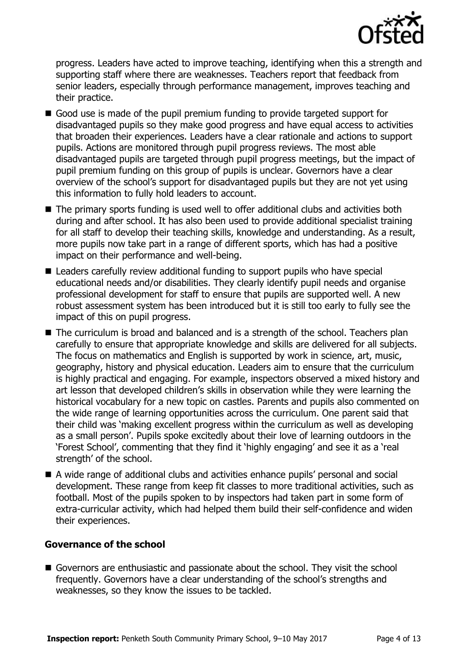

progress. Leaders have acted to improve teaching, identifying when this a strength and supporting staff where there are weaknesses. Teachers report that feedback from senior leaders, especially through performance management, improves teaching and their practice.

- Good use is made of the pupil premium funding to provide targeted support for disadvantaged pupils so they make good progress and have equal access to activities that broaden their experiences. Leaders have a clear rationale and actions to support pupils. Actions are monitored through pupil progress reviews. The most able disadvantaged pupils are targeted through pupil progress meetings, but the impact of pupil premium funding on this group of pupils is unclear. Governors have a clear overview of the school's support for disadvantaged pupils but they are not yet using this information to fully hold leaders to account.
- The primary sports funding is used well to offer additional clubs and activities both during and after school. It has also been used to provide additional specialist training for all staff to develop their teaching skills, knowledge and understanding. As a result, more pupils now take part in a range of different sports, which has had a positive impact on their performance and well-being.
- Leaders carefully review additional funding to support pupils who have special educational needs and/or disabilities. They clearly identify pupil needs and organise professional development for staff to ensure that pupils are supported well. A new robust assessment system has been introduced but it is still too early to fully see the impact of this on pupil progress.
- The curriculum is broad and balanced and is a strength of the school. Teachers plan carefully to ensure that appropriate knowledge and skills are delivered for all subjects. The focus on mathematics and English is supported by work in science, art, music, geography, history and physical education. Leaders aim to ensure that the curriculum is highly practical and engaging. For example, inspectors observed a mixed history and art lesson that developed children's skills in observation while they were learning the historical vocabulary for a new topic on castles. Parents and pupils also commented on the wide range of learning opportunities across the curriculum. One parent said that their child was 'making excellent progress within the curriculum as well as developing as a small person'. Pupils spoke excitedly about their love of learning outdoors in the 'Forest School', commenting that they find it 'highly engaging' and see it as a 'real strength' of the school.
- A wide range of additional clubs and activities enhance pupils' personal and social development. These range from keep fit classes to more traditional activities, such as football. Most of the pupils spoken to by inspectors had taken part in some form of extra-curricular activity, which had helped them build their self-confidence and widen their experiences.

### **Governance of the school**

Governors are enthusiastic and passionate about the school. They visit the school frequently. Governors have a clear understanding of the school's strengths and weaknesses, so they know the issues to be tackled.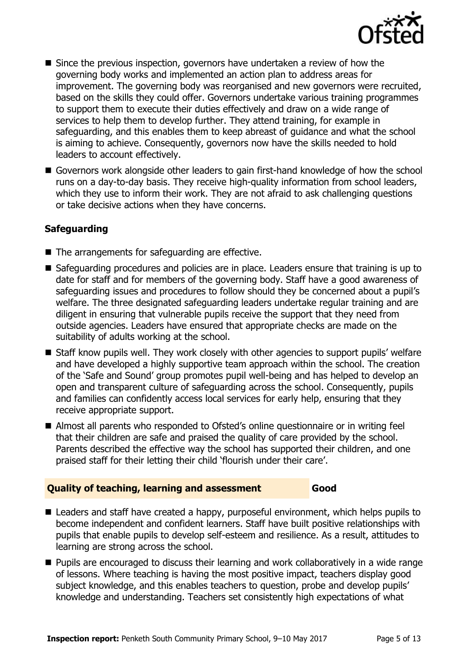

- Since the previous inspection, governors have undertaken a review of how the governing body works and implemented an action plan to address areas for improvement. The governing body was reorganised and new governors were recruited, based on the skills they could offer. Governors undertake various training programmes to support them to execute their duties effectively and draw on a wide range of services to help them to develop further. They attend training, for example in safeguarding, and this enables them to keep abreast of guidance and what the school is aiming to achieve. Consequently, governors now have the skills needed to hold leaders to account effectively.
- Governors work alongside other leaders to gain first-hand knowledge of how the school runs on a day-to-day basis. They receive high-quality information from school leaders, which they use to inform their work. They are not afraid to ask challenging questions or take decisive actions when they have concerns.

## **Safeguarding**

- $\blacksquare$  The arrangements for safeguarding are effective.
- Safeguarding procedures and policies are in place. Leaders ensure that training is up to date for staff and for members of the governing body. Staff have a good awareness of safeguarding issues and procedures to follow should they be concerned about a pupil's welfare. The three designated safeguarding leaders undertake regular training and are diligent in ensuring that vulnerable pupils receive the support that they need from outside agencies. Leaders have ensured that appropriate checks are made on the suitability of adults working at the school.
- Staff know pupils well. They work closely with other agencies to support pupils' welfare and have developed a highly supportive team approach within the school. The creation of the 'Safe and Sound' group promotes pupil well-being and has helped to develop an open and transparent culture of safeguarding across the school. Consequently, pupils and families can confidently access local services for early help, ensuring that they receive appropriate support.
- Almost all parents who responded to Ofsted's online questionnaire or in writing feel that their children are safe and praised the quality of care provided by the school. Parents described the effective way the school has supported their children, and one praised staff for their letting their child 'flourish under their care'.

## **Quality of teaching, learning and assessment Good**

■ Leaders and staff have created a happy, purposeful environment, which helps pupils to become independent and confident learners. Staff have built positive relationships with pupils that enable pupils to develop self-esteem and resilience. As a result, attitudes to learning are strong across the school.

■ Pupils are encouraged to discuss their learning and work collaboratively in a wide range of lessons. Where teaching is having the most positive impact, teachers display good subject knowledge, and this enables teachers to question, probe and develop pupils' knowledge and understanding. Teachers set consistently high expectations of what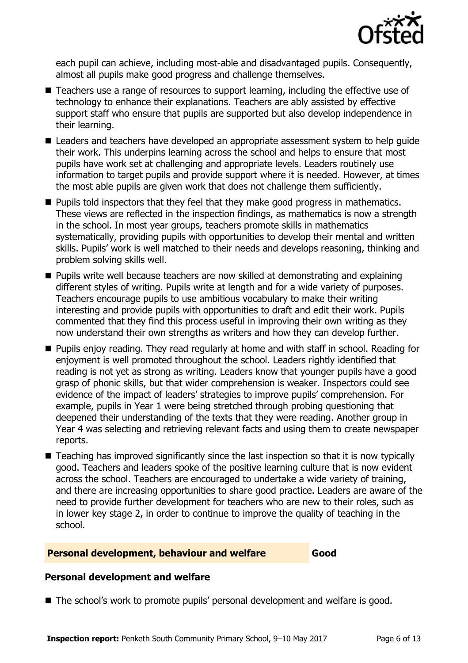

each pupil can achieve, including most-able and disadvantaged pupils. Consequently, almost all pupils make good progress and challenge themselves.

- Teachers use a range of resources to support learning, including the effective use of technology to enhance their explanations. Teachers are ably assisted by effective support staff who ensure that pupils are supported but also develop independence in their learning.
- Leaders and teachers have developed an appropriate assessment system to help quide their work. This underpins learning across the school and helps to ensure that most pupils have work set at challenging and appropriate levels. Leaders routinely use information to target pupils and provide support where it is needed. However, at times the most able pupils are given work that does not challenge them sufficiently.
- $\blacksquare$  Pupils told inspectors that they feel that they make good progress in mathematics. These views are reflected in the inspection findings, as mathematics is now a strength in the school. In most year groups, teachers promote skills in mathematics systematically, providing pupils with opportunities to develop their mental and written skills. Pupils' work is well matched to their needs and develops reasoning, thinking and problem solving skills well.
- Pupils write well because teachers are now skilled at demonstrating and explaining different styles of writing. Pupils write at length and for a wide variety of purposes. Teachers encourage pupils to use ambitious vocabulary to make their writing interesting and provide pupils with opportunities to draft and edit their work. Pupils commented that they find this process useful in improving their own writing as they now understand their own strengths as writers and how they can develop further.
- Pupils enjoy reading. They read regularly at home and with staff in school. Reading for enjoyment is well promoted throughout the school. Leaders rightly identified that reading is not yet as strong as writing. Leaders know that younger pupils have a good grasp of phonic skills, but that wider comprehension is weaker. Inspectors could see evidence of the impact of leaders' strategies to improve pupils' comprehension. For example, pupils in Year 1 were being stretched through probing questioning that deepened their understanding of the texts that they were reading. Another group in Year 4 was selecting and retrieving relevant facts and using them to create newspaper reports.
- Teaching has improved significantly since the last inspection so that it is now typically good. Teachers and leaders spoke of the positive learning culture that is now evident across the school. Teachers are encouraged to undertake a wide variety of training, and there are increasing opportunities to share good practice. Leaders are aware of the need to provide further development for teachers who are new to their roles, such as in lower key stage 2, in order to continue to improve the quality of teaching in the school.

### **Personal development, behaviour and welfare Good**

### **Personal development and welfare**

■ The school's work to promote pupils' personal development and welfare is good.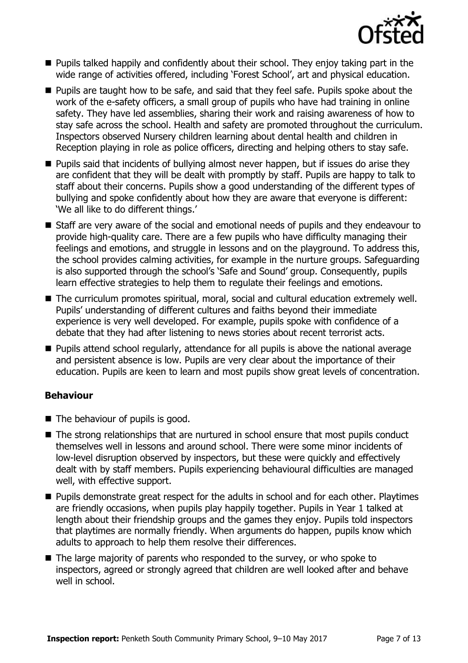

- **Pupils talked happily and confidently about their school. They enjoy taking part in the** wide range of activities offered, including 'Forest School', art and physical education.
- **Pupils are taught how to be safe, and said that they feel safe. Pupils spoke about the** work of the e-safety officers, a small group of pupils who have had training in online safety. They have led assemblies, sharing their work and raising awareness of how to stay safe across the school. Health and safety are promoted throughout the curriculum. Inspectors observed Nursery children learning about dental health and children in Reception playing in role as police officers, directing and helping others to stay safe.
- **Pupils said that incidents of bullying almost never happen, but if issues do arise they** are confident that they will be dealt with promptly by staff. Pupils are happy to talk to staff about their concerns. Pupils show a good understanding of the different types of bullying and spoke confidently about how they are aware that everyone is different: 'We all like to do different things.'
- Staff are very aware of the social and emotional needs of pupils and they endeavour to provide high-quality care. There are a few pupils who have difficulty managing their feelings and emotions, and struggle in lessons and on the playground. To address this, the school provides calming activities, for example in the nurture groups. Safeguarding is also supported through the school's 'Safe and Sound' group. Consequently, pupils learn effective strategies to help them to regulate their feelings and emotions.
- The curriculum promotes spiritual, moral, social and cultural education extremely well. Pupils' understanding of different cultures and faiths beyond their immediate experience is very well developed. For example, pupils spoke with confidence of a debate that they had after listening to news stories about recent terrorist acts.
- **Pupils attend school regularly, attendance for all pupils is above the national average** and persistent absence is low. Pupils are very clear about the importance of their education. Pupils are keen to learn and most pupils show great levels of concentration.

## **Behaviour**

- The behaviour of pupils is good.
- The strong relationships that are nurtured in school ensure that most pupils conduct themselves well in lessons and around school. There were some minor incidents of low-level disruption observed by inspectors, but these were quickly and effectively dealt with by staff members. Pupils experiencing behavioural difficulties are managed well, with effective support.
- **Pupils demonstrate great respect for the adults in school and for each other. Playtimes** are friendly occasions, when pupils play happily together. Pupils in Year 1 talked at length about their friendship groups and the games they enjoy. Pupils told inspectors that playtimes are normally friendly. When arguments do happen, pupils know which adults to approach to help them resolve their differences.
- The large majority of parents who responded to the survey, or who spoke to inspectors, agreed or strongly agreed that children are well looked after and behave well in school.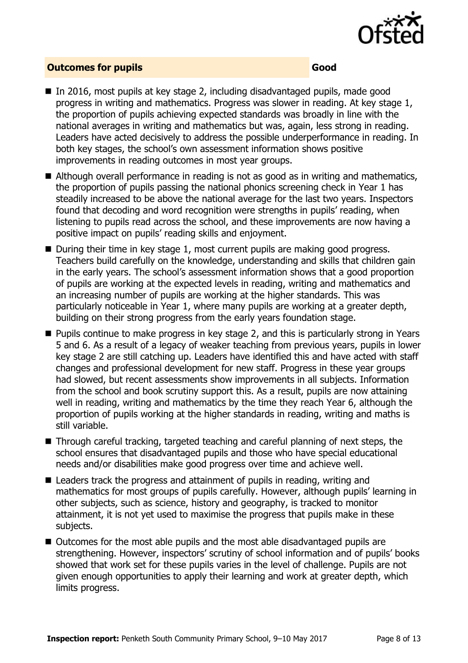

#### **Outcomes for pupils Good**

- In 2016, most pupils at key stage 2, including disadvantaged pupils, made good progress in writing and mathematics. Progress was slower in reading. At key stage 1, the proportion of pupils achieving expected standards was broadly in line with the national averages in writing and mathematics but was, again, less strong in reading. Leaders have acted decisively to address the possible underperformance in reading. In both key stages, the school's own assessment information shows positive improvements in reading outcomes in most year groups.
- Although overall performance in reading is not as good as in writing and mathematics, the proportion of pupils passing the national phonics screening check in Year 1 has steadily increased to be above the national average for the last two years. Inspectors found that decoding and word recognition were strengths in pupils' reading, when listening to pupils read across the school, and these improvements are now having a positive impact on pupils' reading skills and enjoyment.
- $\blacksquare$  During their time in key stage 1, most current pupils are making good progress. Teachers build carefully on the knowledge, understanding and skills that children gain in the early years. The school's assessment information shows that a good proportion of pupils are working at the expected levels in reading, writing and mathematics and an increasing number of pupils are working at the higher standards. This was particularly noticeable in Year 1, where many pupils are working at a greater depth, building on their strong progress from the early years foundation stage.
- **Pupils continue to make progress in key stage 2, and this is particularly strong in Years** 5 and 6. As a result of a legacy of weaker teaching from previous years, pupils in lower key stage 2 are still catching up. Leaders have identified this and have acted with staff changes and professional development for new staff. Progress in these year groups had slowed, but recent assessments show improvements in all subjects. Information from the school and book scrutiny support this. As a result, pupils are now attaining well in reading, writing and mathematics by the time they reach Year 6, although the proportion of pupils working at the higher standards in reading, writing and maths is still variable.
- Through careful tracking, targeted teaching and careful planning of next steps, the school ensures that disadvantaged pupils and those who have special educational needs and/or disabilities make good progress over time and achieve well.
- Leaders track the progress and attainment of pupils in reading, writing and mathematics for most groups of pupils carefully. However, although pupils' learning in other subjects, such as science, history and geography, is tracked to monitor attainment, it is not yet used to maximise the progress that pupils make in these subjects.
- Outcomes for the most able pupils and the most able disadvantaged pupils are strengthening. However, inspectors' scrutiny of school information and of pupils' books showed that work set for these pupils varies in the level of challenge. Pupils are not given enough opportunities to apply their learning and work at greater depth, which limits progress.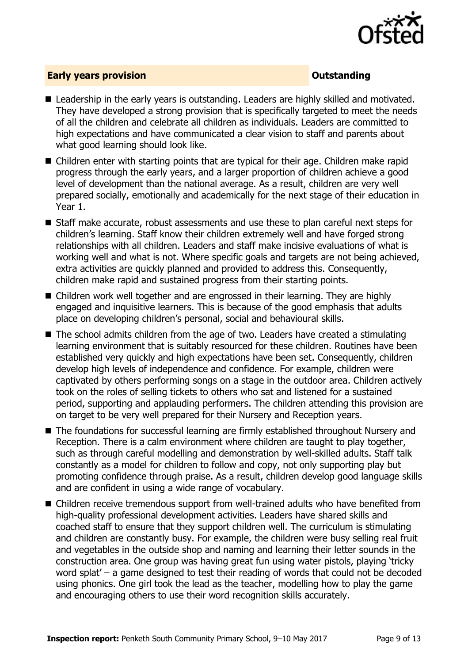

### **Early years provision CONSTANDING TO A RESEARCH THE CONSTANDING TO A RESEARCH THE CONSTANDING TO A RESEARCH THE CONSTANDING TO A RESEARCH THE CONSTANDING TO A RESEARCH THE CONSTANTING OF THE CONSTANTING OF THE CONSTANTI**

- Leadership in the early vears is outstanding. Leaders are highly skilled and motivated. They have developed a strong provision that is specifically targeted to meet the needs of all the children and celebrate all children as individuals. Leaders are committed to high expectations and have communicated a clear vision to staff and parents about what good learning should look like.
- Children enter with starting points that are typical for their age. Children make rapid progress through the early years, and a larger proportion of children achieve a good level of development than the national average. As a result, children are very well prepared socially, emotionally and academically for the next stage of their education in Year 1.
- Staff make accurate, robust assessments and use these to plan careful next steps for children's learning. Staff know their children extremely well and have forged strong relationships with all children. Leaders and staff make incisive evaluations of what is working well and what is not. Where specific goals and targets are not being achieved, extra activities are quickly planned and provided to address this. Consequently, children make rapid and sustained progress from their starting points.
- Children work well together and are engrossed in their learning. They are highly engaged and inquisitive learners. This is because of the good emphasis that adults place on developing children's personal, social and behavioural skills.
- The school admits children from the age of two. Leaders have created a stimulating learning environment that is suitably resourced for these children. Routines have been established very quickly and high expectations have been set. Consequently, children develop high levels of independence and confidence. For example, children were captivated by others performing songs on a stage in the outdoor area. Children actively took on the roles of selling tickets to others who sat and listened for a sustained period, supporting and applauding performers. The children attending this provision are on target to be very well prepared for their Nursery and Reception years.
- The foundations for successful learning are firmly established throughout Nursery and Reception. There is a calm environment where children are taught to play together, such as through careful modelling and demonstration by well-skilled adults. Staff talk constantly as a model for children to follow and copy, not only supporting play but promoting confidence through praise. As a result, children develop good language skills and are confident in using a wide range of vocabulary.
- Children receive tremendous support from well-trained adults who have benefited from high-quality professional development activities. Leaders have shared skills and coached staff to ensure that they support children well. The curriculum is stimulating and children are constantly busy. For example, the children were busy selling real fruit and vegetables in the outside shop and naming and learning their letter sounds in the construction area. One group was having great fun using water pistols, playing 'tricky word splat' – a game designed to test their reading of words that could not be decoded using phonics. One girl took the lead as the teacher, modelling how to play the game and encouraging others to use their word recognition skills accurately.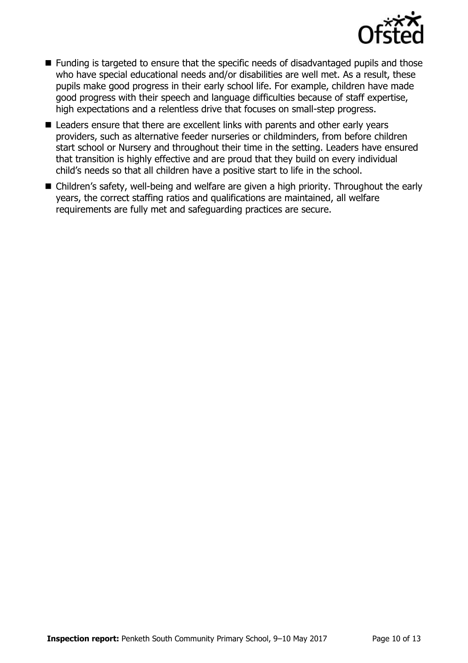

- Funding is targeted to ensure that the specific needs of disadvantaged pupils and those who have special educational needs and/or disabilities are well met. As a result, these pupils make good progress in their early school life. For example, children have made good progress with their speech and language difficulties because of staff expertise, high expectations and a relentless drive that focuses on small-step progress.
- Leaders ensure that there are excellent links with parents and other early years providers, such as alternative feeder nurseries or childminders, from before children start school or Nursery and throughout their time in the setting. Leaders have ensured that transition is highly effective and are proud that they build on every individual child's needs so that all children have a positive start to life in the school.
- Children's safety, well-being and welfare are given a high priority. Throughout the early years, the correct staffing ratios and qualifications are maintained, all welfare requirements are fully met and safeguarding practices are secure.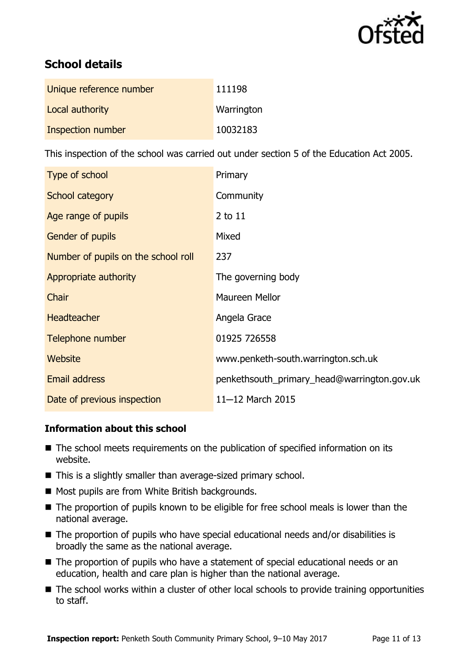

# **School details**

| Unique reference number | 111198     |
|-------------------------|------------|
| Local authority         | Warrington |
| Inspection number       | 10032183   |

This inspection of the school was carried out under section 5 of the Education Act 2005.

| Type of school                      | Primary                                     |
|-------------------------------------|---------------------------------------------|
| School category                     | Community                                   |
| Age range of pupils                 | 2 to 11                                     |
| Gender of pupils                    | Mixed                                       |
| Number of pupils on the school roll | 237                                         |
| Appropriate authority               | The governing body                          |
| Chair                               | Maureen Mellor                              |
| <b>Headteacher</b>                  | Angela Grace                                |
| Telephone number                    | 01925 726558                                |
| Website                             | www.penketh-south.warrington.sch.uk         |
| <b>Email address</b>                | penkethsouth_primary_head@warrington.gov.uk |
| Date of previous inspection         | 11-12 March 2015                            |

## **Information about this school**

- The school meets requirements on the publication of specified information on its website.
- This is a slightly smaller than average-sized primary school.
- Most pupils are from White British backgrounds.
- The proportion of pupils known to be eligible for free school meals is lower than the national average.
- The proportion of pupils who have special educational needs and/or disabilities is broadly the same as the national average.
- The proportion of pupils who have a statement of special educational needs or an education, health and care plan is higher than the national average.
- The school works within a cluster of other local schools to provide training opportunities to staff.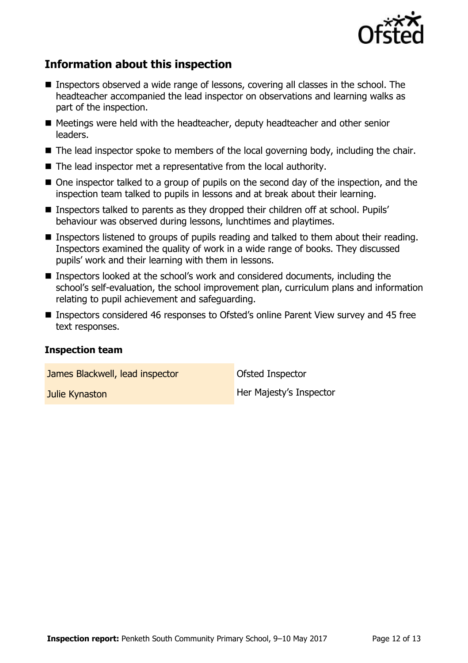

# **Information about this inspection**

- Inspectors observed a wide range of lessons, covering all classes in the school. The headteacher accompanied the lead inspector on observations and learning walks as part of the inspection.
- Meetings were held with the headteacher, deputy headteacher and other senior leaders.
- The lead inspector spoke to members of the local governing body, including the chair.
- The lead inspector met a representative from the local authority.
- One inspector talked to a group of pupils on the second day of the inspection, and the inspection team talked to pupils in lessons and at break about their learning.
- Inspectors talked to parents as they dropped their children off at school. Pupils' behaviour was observed during lessons, lunchtimes and playtimes.
- **Inspectors listened to groups of pupils reading and talked to them about their reading.** Inspectors examined the quality of work in a wide range of books. They discussed pupils' work and their learning with them in lessons.
- Inspectors looked at the school's work and considered documents, including the school's self-evaluation, the school improvement plan, curriculum plans and information relating to pupil achievement and safeguarding.
- Inspectors considered 46 responses to Ofsted's online Parent View survey and 45 free text responses.

### **Inspection team**

James Blackwell, lead inspector **Department Constructs** Ofsted Inspector

**Julie Kynaston Her Majesty's Inspector**